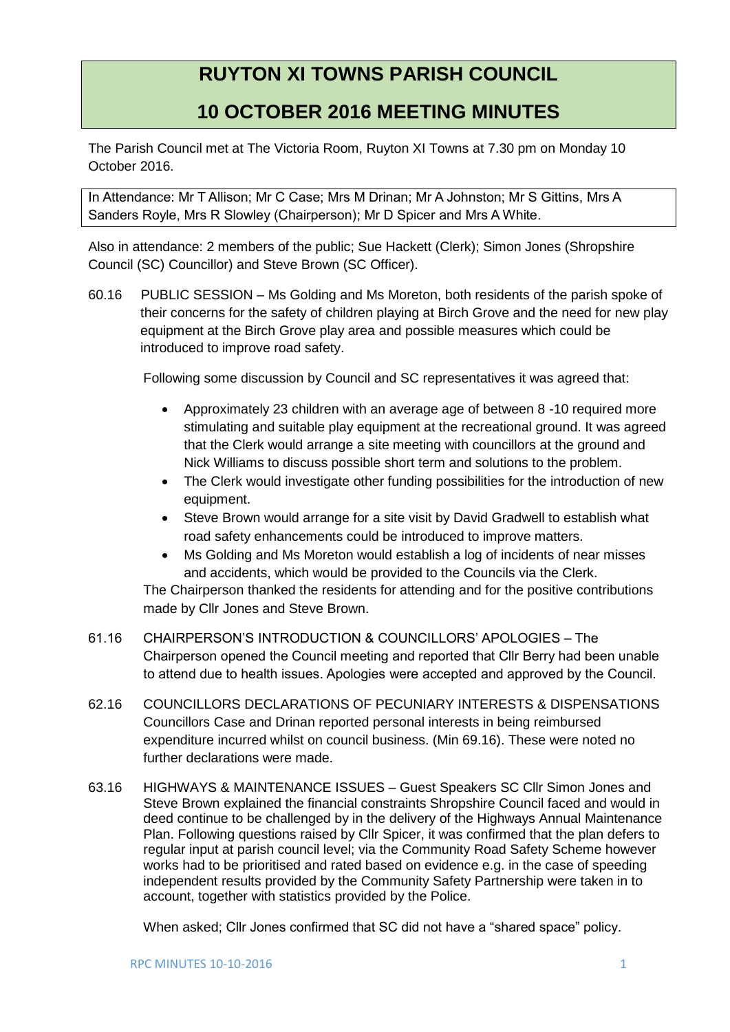## **RUYTON XI TOWNS PARISH COUNCIL**

## **10 OCTOBER 2016 MEETING MINUTES**

The Parish Council met at The Victoria Room, Ruyton XI Towns at 7.30 pm on Monday 10 October 2016.

In Attendance: Mr T Allison; Mr C Case; Mrs M Drinan; Mr A Johnston; Mr S Gittins, Mrs A Sanders Royle, Mrs R Slowley (Chairperson); Mr D Spicer and Mrs A White.

Also in attendance: 2 members of the public; Sue Hackett (Clerk); Simon Jones (Shropshire Council (SC) Councillor) and Steve Brown (SC Officer).

60.16 PUBLIC SESSION – Ms Golding and Ms Moreton, both residents of the parish spoke of their concerns for the safety of children playing at Birch Grove and the need for new play equipment at the Birch Grove play area and possible measures which could be introduced to improve road safety.

Following some discussion by Council and SC representatives it was agreed that:

- Approximately 23 children with an average age of between 8 -10 required more stimulating and suitable play equipment at the recreational ground. It was agreed that the Clerk would arrange a site meeting with councillors at the ground and Nick Williams to discuss possible short term and solutions to the problem.
- The Clerk would investigate other funding possibilities for the introduction of new equipment.
- Steve Brown would arrange for a site visit by David Gradwell to establish what road safety enhancements could be introduced to improve matters.
- Ms Golding and Ms Moreton would establish a log of incidents of near misses and accidents, which would be provided to the Councils via the Clerk.

The Chairperson thanked the residents for attending and for the positive contributions made by Cllr Jones and Steve Brown.

- 61.16 CHAIRPERSON'S INTRODUCTION & COUNCILLORS' APOLOGIES The Chairperson opened the Council meeting and reported that Cllr Berry had been unable to attend due to health issues. Apologies were accepted and approved by the Council.
- 62.16 COUNCILLORS DECLARATIONS OF PECUNIARY INTERESTS & DISPENSATIONS Councillors Case and Drinan reported personal interests in being reimbursed expenditure incurred whilst on council business. (Min 69.16). These were noted no further declarations were made.
- 63.16 HIGHWAYS & MAINTENANCE ISSUES Guest Speakers SC Cllr Simon Jones and Steve Brown explained the financial constraints Shropshire Council faced and would in deed continue to be challenged by in the delivery of the Highways Annual Maintenance Plan. Following questions raised by Cllr Spicer, it was confirmed that the plan defers to regular input at parish council level; via the Community Road Safety Scheme however works had to be prioritised and rated based on evidence e.g. in the case of speeding independent results provided by the Community Safety Partnership were taken in to account, together with statistics provided by the Police.

When asked; Cllr Jones confirmed that SC did not have a "shared space" policy.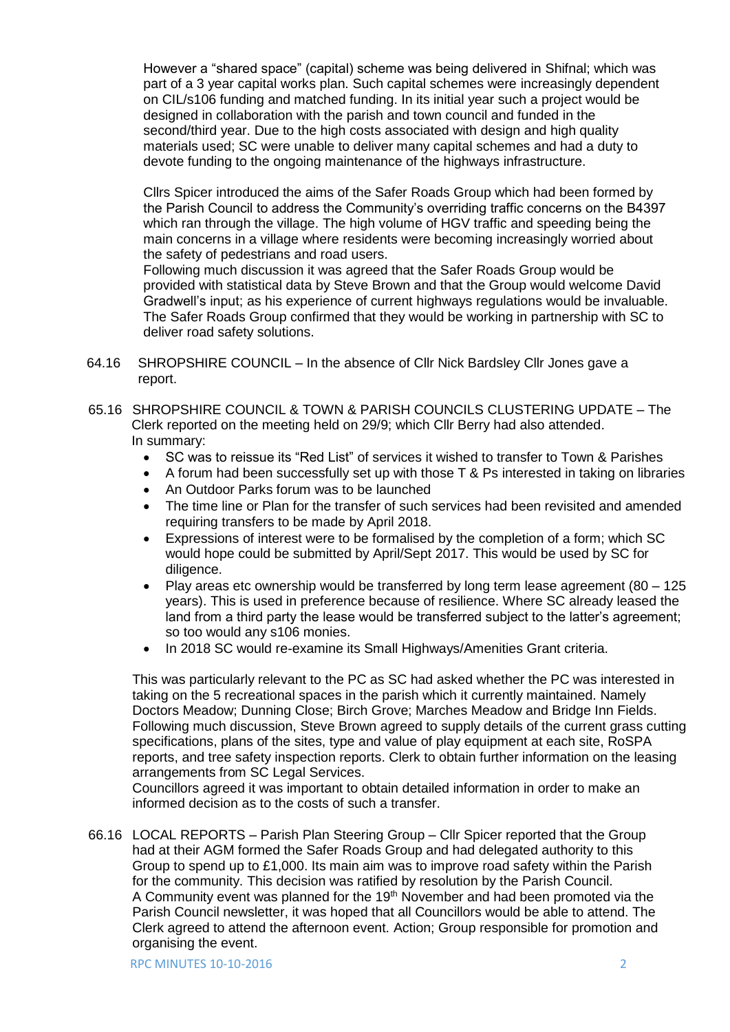However a "shared space" (capital) scheme was being delivered in Shifnal; which was part of a 3 year capital works plan. Such capital schemes were increasingly dependent on CIL/s106 funding and matched funding. In its initial year such a project would be designed in collaboration with the parish and town council and funded in the second/third year. Due to the high costs associated with design and high quality materials used; SC were unable to deliver many capital schemes and had a duty to devote funding to the ongoing maintenance of the highways infrastructure.

Cllrs Spicer introduced the aims of the Safer Roads Group which had been formed by the Parish Council to address the Community's overriding traffic concerns on the B4397 which ran through the village. The high volume of HGV traffic and speeding being the main concerns in a village where residents were becoming increasingly worried about the safety of pedestrians and road users.

Following much discussion it was agreed that the Safer Roads Group would be provided with statistical data by Steve Brown and that the Group would welcome David Gradwell's input; as his experience of current highways regulations would be invaluable. The Safer Roads Group confirmed that they would be working in partnership with SC to deliver road safety solutions.

- 64.16 SHROPSHIRE COUNCIL In the absence of Cllr Nick Bardsley Cllr Jones gave a report.
- 65.16 SHROPSHIRE COUNCIL & TOWN & PARISH COUNCILS CLUSTERING UPDATE The Clerk reported on the meeting held on 29/9; which Cllr Berry had also attended. In summary:
	- SC was to reissue its "Red List" of services it wished to transfer to Town & Parishes
	- A forum had been successfully set up with those T & Ps interested in taking on libraries
	- An Outdoor Parks forum was to be launched
	- The time line or Plan for the transfer of such services had been revisited and amended requiring transfers to be made by April 2018.
	- Expressions of interest were to be formalised by the completion of a form; which SC would hope could be submitted by April/Sept 2017. This would be used by SC for diligence.
	- Play areas etc ownership would be transferred by long term lease agreement (80 125 years). This is used in preference because of resilience. Where SC already leased the land from a third party the lease would be transferred subject to the latter's agreement; so too would any s106 monies.
	- In 2018 SC would re-examine its Small Highways/Amenities Grant criteria.

This was particularly relevant to the PC as SC had asked whether the PC was interested in taking on the 5 recreational spaces in the parish which it currently maintained. Namely Doctors Meadow; Dunning Close; Birch Grove; Marches Meadow and Bridge Inn Fields. Following much discussion, Steve Brown agreed to supply details of the current grass cutting specifications, plans of the sites, type and value of play equipment at each site, RoSPA reports, and tree safety inspection reports. Clerk to obtain further information on the leasing arrangements from SC Legal Services.

Councillors agreed it was important to obtain detailed information in order to make an informed decision as to the costs of such a transfer.

66.16 LOCAL REPORTS – Parish Plan Steering Group – Cllr Spicer reported that the Group had at their AGM formed the Safer Roads Group and had delegated authority to this Group to spend up to £1,000. Its main aim was to improve road safety within the Parish for the community. This decision was ratified by resolution by the Parish Council. A Community event was planned for the 19<sup>th</sup> November and had been promoted via the Parish Council newsletter, it was hoped that all Councillors would be able to attend. The Clerk agreed to attend the afternoon event. Action; Group responsible for promotion and organising the event.

RPC MINUTES 10-10-2016 2